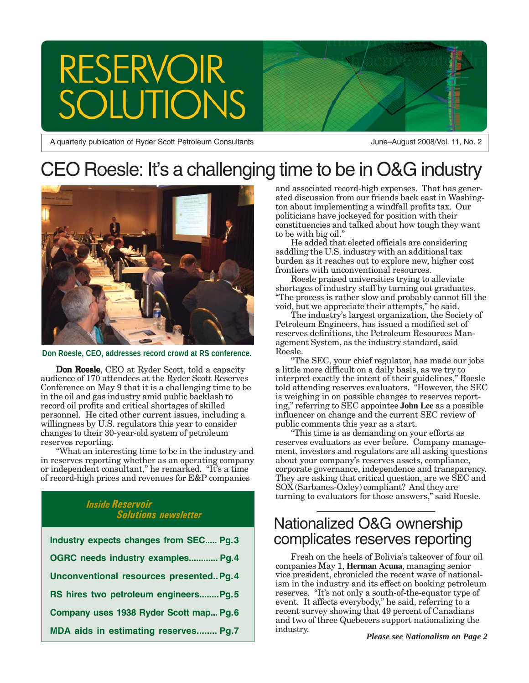# **RESERVOIR TIONS**

A quarterly publication of Ryder Scott Petroleum Consultants

June–August 2008/Vol. 11, No. 2

# CEO Roesle: It's a challenging time to be in O&G industry



**Don Roesle, CEO, addresses record crowd at RS conference.**

Don Roesle, CEO at Ryder Scott, told a capacity audience of 170 attendees at the Ryder Scott Reserves Conference on May 9 that it is a challenging time to be in the oil and gas industry amid public backlash to record oil profits and critical shortages of skilled personnel. He cited other current issues, including a willingness by U.S. regulators this year to consider changes to their 30-year-old system of petroleum reserves reporting.

"What an interesting time to be in the industry and in reserves reporting whether as an operating company or independent consultant," he remarked. "It's a time of record-high prices and revenues for E&P companies

#### *Inside Reservoir Solutions newsletter*

| Industry expects changes from SEC Pg.3   |
|------------------------------------------|
| OGRC needs industry examples Pg.4        |
| Unconventional resources presented Pg. 4 |
| RS hires two petroleum engineersPg.5     |
| Company uses 1938 Ryder Scott map Pg.6   |
| MDA aids in estimating reserves Pg.7     |

and associated record-high expenses. That has generated discussion from our friends back east in Washington about implementing a windfall profits tax. Our politicians have jockeyed for position with their constituencies and talked about how tough they want to be with big oil."

He added that elected officials are considering saddling the U.S. industry with an additional tax burden as it reaches out to explore new, higher cost frontiers with unconventional resources.

Roesle praised universities trying to alleviate shortages of industry staff by turning out graduates. "The process is rather slow and probably cannot fill the void, but we appreciate their attempts," he said.

The industry's largest organization, the Society of Petroleum Engineers, has issued a modified set of reserves definitions, the Petroleum Resources Management System, as the industry standard, said Roesle.

"The SEC, your chief regulator, has made our jobs a little more difficult on a daily basis, as we try to interpret exactly the intent of their guidelines," Roesle told attending reserves evaluators. "However, the SEC is weighing in on possible changes to reserves reporting," referring to SEC appointee **John Lee** as a possible influencer on change and the current SEC review of public comments this year as a start.

"This time is as demanding on your efforts as reserves evaluators as ever before. Company management, investors and regulators are all asking questions about your company's reserves assets, compliance, corporate governance, independence and transparency. They are asking that critical question, are we SEC and SOX (Sarbanes-Oxley) compliant? And they are turning to evaluators for those answers," said Roesle.

### Nationalized O&G ownership complicates reserves reporting

Fresh on the heels of Bolivia's takeover of four oil companies May 1, **Herman Acuna**, managing senior vice president, chronicled the recent wave of nationalism in the industry and its effect on booking petroleum reserves. "It's not only a south-of-the-equator type of event. It affects everybody," he said, referring to a recent survey showing that 49 percent of Canadians and two of three Quebecers support nationalizing the industry. *Please see Nationalism on Page 2*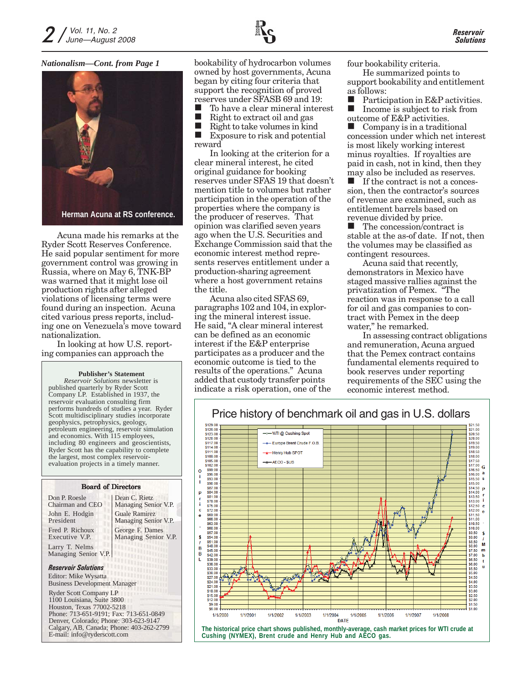

#### *Nationalism—Cont. from Page 1*



Acuna made his remarks at the Ryder Scott Reserves Conference. He said popular sentiment for more government control was growing in Russia, where on May 6, TNK-BP was warned that it might lose oil production rights after alleged violations of licensing terms were found during an inspection. Acuna cited various press reports, including one on Venezuela's move toward nationalization.

In looking at how U.S. reporting companies can approach the

#### **Publisher's Statement**

*Reservoir Solutions* newsletter is published quarterly by Ryder Scott Company LP. Established in 1937, the reservoir evaluation consulting firm performs hundreds of studies a year. Ryder Scott multidisciplinary studies incorporate geophysics, petrophysics, geology, petroleum engineering, reservoir simulation and economics. With 115 employees, including 80 engineers and geoscientists, Ryder Scott has the capability to complete the largest, most complex reservoirevaluation projects in a timely manner.

#### *Reservoir Solutions* Larry T. Nelms Managing Senior V.P. Board of Directors Don P. Roesle Chairman and CEO John E. Hodgin President Fred P. Richoux Executive V.P. Ryder Scott Company LP 1100 Louisiana, Suite 3800 Editor: Mike Wysatta Business Development Manager Dean C. Rietz Managing Senior V.P. Guale Ramirez Managing Senior V.P. George F. Dames Managing Senior V.P.

Houston, Texas 77002-5218 Phone: 713-651-9191; Fax: 713-651-0849 Denver, Colorado; Phone: 303-623-9147 Calgary, AB, Canada; Phone: 403-262-2799 E-mail: info@ryderscott.com

bookability of hydrocarbon volumes owned by host governments, Acuna began by citing four criteria that support the recognition of proved reserves under SFASB 69 and 19:

To have a clear mineral interest

Right to extract oil and gas

 Right to take volumes in kind Exposure to risk and potential reward

In looking at the criterion for a clear mineral interest, he cited original guidance for booking reserves under SFAS 19 that doesn't mention title to volumes but rather participation in the operation of the properties where the company is the producer of reserves. That opinion was clarified seven years ago when the U.S. Securities and Exchange Commission said that the economic interest method represents reserves entitlement under a production-sharing agreement where a host government retains the title.

Acuna also cited SFAS 69, paragraphs 102 and 104, in exploring the mineral interest issue. He said, "A clear mineral interest can be defined as an economic interest if the E&P enterprise participates as a producer and the economic outcome is tied to the results of the operations." Acuna added that custody transfer points indicate a risk operation, one of the four bookability criteria.

He summarized points to support bookability and entitlement as follows:

**Participation in E&P activities.**<br>Income is subject to risk from Income is subject to risk from outcome of E&P activities.

 Company is in a traditional concession under which net interest is most likely working interest minus royalties. If royalties are paid in cash, not in kind, then they may also be included as reserves.

 $\blacksquare$  If the contract is not a concession, then the contractor's sources of revenue are examined, such as entitlement barrels based on revenue divided by price.

 The concession/contract is stable at the as-of date. If not, then the volumes may be classified as contingent resources.

Acuna said that recently, demonstrators in Mexico have staged massive rallies against the privatization of Pemex. "The reaction was in response to a call for oil and gas companies to contract with Pemex in the deep water," he remarked.

In assessing contract obligations and remuneration, Acuna argued that the Pemex contract contains fundamental elements required to book reserves under reporting requirements of the SEC using the economic interest method.



**The historical price chart shows published, monthly-average, cash market prices for WTI crude at Cushing (NYMEX), Brent crude and Henry Hub and AECO gas.**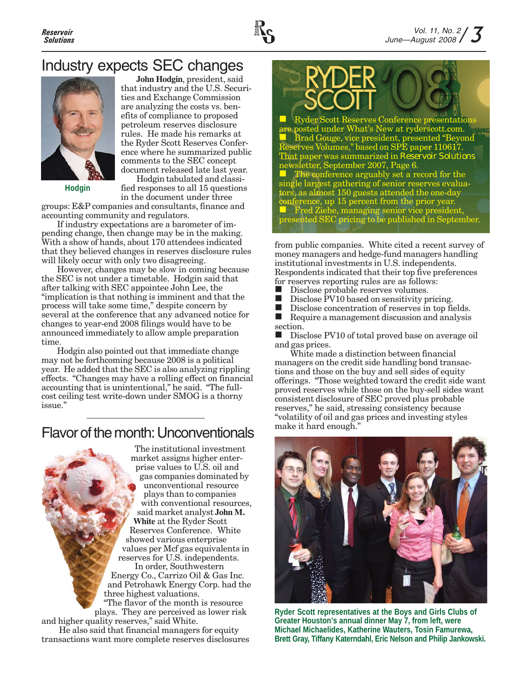

## Industry expects SEC changes



**John Hodgin**, president, said that industry and the U.S. Securities and Exchange Commission are analyzing the costs vs. benefits of compliance to proposed petroleum reserves disclosure rules. He made his remarks at the Ryder Scott Reserves Conference where he summarized public comments to the SEC concept document released late last year.

**Hodgin**

Hodgin tabulated and classified responses to all 15 questions in the document under three

groups: E&P companies and consultants, finance and accounting community and regulators.

If industry expectations are a barometer of impending change, then change may be in the making. With a show of hands, about 170 attendees indicated that they believed changes in reserves disclosure rules will likely occur with only two disagreeing.

However, changes may be slow in coming because the SEC is not under a timetable. Hodgin said that after talking with SEC appointee John Lee, the "implication is that nothing is imminent and that the process will take some time," despite concern by several at the conference that any advanced notice for changes to year-end 2008 filings would have to be announced immediately to allow ample preparation time.

Hodgin also pointed out that immediate change may not be forthcoming because 2008 is a political year. He added that the SEC is also analyzing rippling effects. "Changes may have a rolling effect on financial accounting that is unintentional," he said. "The fullcost ceiling test write-down under SMOG is a thorny issue."

### Flavor of the month: Unconventionals



transactions want more complete reserves disclosures



from public companies. White cited a recent survey of money managers and hedge-fund managers handling institutional investments in U.S. independents. Respondents indicated that their top five preferences for reserves reporting rules are as follows:

- 
- Disclose probable reserves volumes.<br>Disclose PV10 based on sensitivity p Disclose PV10 based on sensitivity pricing.
- 

Disclose concentration of reserves in top fields.<br>
Require a management discussion and analysis Require a management discussion and analysis section.

Disclose PV10 of total proved base on average oil and gas prices.

White made a distinction between financial managers on the credit side handling bond transactions and those on the buy and sell sides of equity offerings. "Those weighted toward the credit side want proved reserves while those on the buy-sell sides want consistent disclosure of SEC proved plus probable reserves," he said, stressing consistency because "volatility of oil and gas prices and investing styles make it hard enough."



**Ryder Scott representatives at the Boys and Girls Clubs of Greater Houston's annual dinner May 7, from left, were Michael Michaelides, Katherine Wauters, Tosin Famurewa, Brett Gray, Tiffany Katerndahl, Eric Nelson and Philip Jankowski.**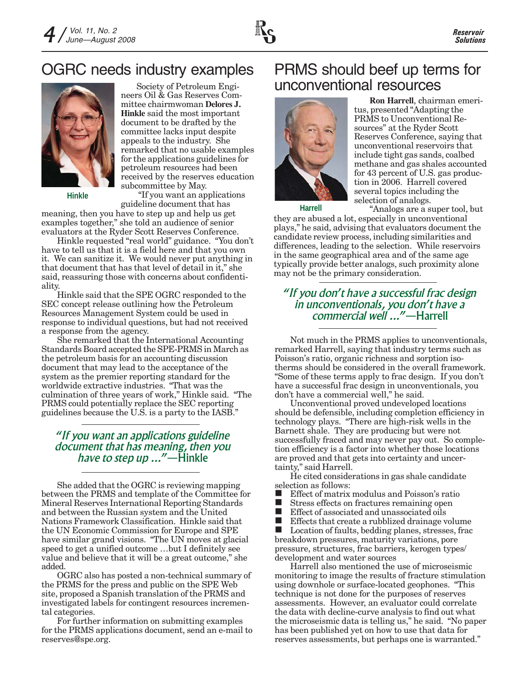

# OGRC needs industry examples



**Hinkle**

Society of Petroleum Engineers Oil & Gas Reserves Committee chairmwoman **Delores J. Hinkle** said the most important document to be drafted by the committee lacks input despite appeals to the industry. She remarked that no usable examples for the applications guidelines for petroleum resources had been received by the reserves education subcommittee by May.

 "If you want an applications guideline document that has

guideline document that has<br>meaning, then you have to step up and help us get examples together," she told an audience of senior evaluators at the Ryder Scott Reserves Conference.

Hinkle requested "real world" guidance. "You don't have to tell us that it is a field here and that you own it. We can sanitize it. We would never put anything in that document that has that level of detail in it," she said, reassuring those with concerns about confidentiality.

Hinkle said that the SPE OGRC responded to the SEC concept release outlining how the Petroleum Resources Management System could be used in response to individual questions, but had not received a response from the agency.

She remarked that the International Accounting Standards Board accepted the SPE-PRMS in March as the petroleum basis for an accounting discussion document that may lead to the acceptance of the system as the premier reporting standard for the worldwide extractive industries. "That was the culmination of three years of work," Hinkle said. "The PRMS could potentially replace the SEC reporting guidelines because the U.S. is a party to the IASB."

#### *"If you want an applications guideline document that has meaning, then you have to step up ..."*—Hinkle

She added that the OGRC is reviewing mapping between the PRMS and template of the Committee for Mineral Reserves International Reporting Standards and between the Russian system and the United Nations Framework Classification. Hinkle said that the UN Economic Commission for Europe and SPE have similar grand visions. "The UN moves at glacial speed to get a unified outcome …but I definitely see value and believe that it will be a great outcome," she added.

OGRC also has posted a non-technical summary of the PRMS for the press and public on the SPE Web site, proposed a Spanish translation of the PRMS and investigated labels for contingent resources incremental categories.

For further information on submitting examples for the PRMS applications document, send an e-mail to reserves@spe.org.

# PRMS should beef up terms for unconventional resources



**Ron Harrell**, chairman emeritus, presented "Adapting the PRMS to Unconventional Resources" at the Ryder Scott Reserves Conference, saying that unconventional reservoirs that include tight gas sands, coalbed methane and gas shales accounted for 43 percent of U.S. gas production in 2006. Harrell covered several topics including the selection of analogs.

"Analogs are a super tool, but they are abused a lot, especially in unconventional plays," he said, advising that evaluators document the candidate review process, including similarities and differences, leading to the selection. While reservoirs in the same geographical area and of the same age typically provide better analogs, such proximity alone may not be the primary consideration.

#### *"If you don't have a successful frac design in unconventionals, you don't have a commercial well ..."*—Harrell

Not much in the PRMS applies to unconventionals, remarked Harrell, saying that industry terms such as Poisson's ratio, organic richness and sorption isotherms should be considered in the overall framework. "Some of these terms apply to frac design. If you don't have a successful frac design in unconventionals, you don't have a commercial well," he said.

Unconventional proved undeveloped locations should be defensible, including completion efficiency in technology plays. "There are high-risk wells in the Barnett shale. They are producing but were not successfully fraced and may never pay out. So completion efficiency is a factor into whether those locations are proved and that gets into certainty and uncertainty," said Harrell.

He cited considerations in gas shale candidate selection as follows:

- Effect of matrix modulus and Poisson's ratio
- Stress effects on fractures remaining open
- **Effect of associated and unassociated oils**
- **Effects that create a rubblized drainage volume**

■ Location of faults, bedding planes, stresses, frac breakdown pressures, maturity variations, pore pressure, structures, frac barriers, kerogen types/ development and water sources

Harrell also mentioned the use of microseismic monitoring to image the results of fracture stimulation using downhole or surface-located geophones. "This technique is not done for the purposes of reserves assessments. However, an evaluator could correlate the data with decline-curve analysis to find out what the microseismic data is telling us," he said. "No paper has been published yet on how to use that data for reserves assessments, but perhaps one is warranted."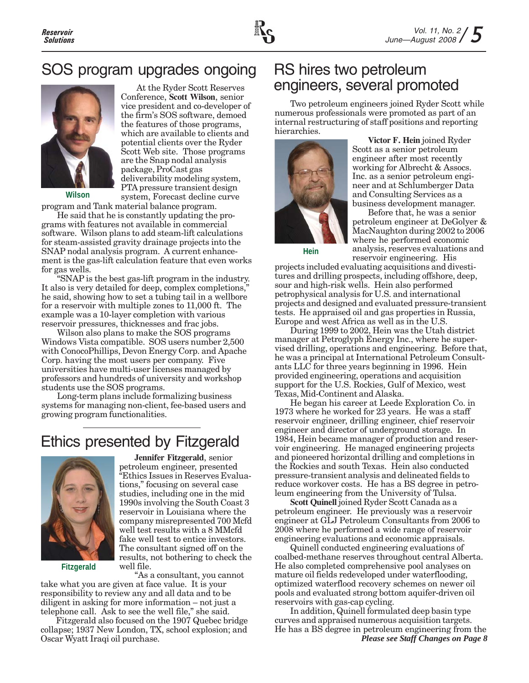

# SOS program upgrades ongoing



**Wilson**

At the Ryder Scott Reserves Conference, **Scott Wilson**, senior vice president and co-developer of the firm's SOS software, demoed the features of those programs, which are available to clients and potential clients over the Ryder Scott Web site. Those programs are the Snap nodal analysis package, ProCast gas deliverability modeling system, PTA pressure transient design system, Forecast decline curve

program and Tank material balance program.

He said that he is constantly updating the programs with features not available in commercial software. Wilson plans to add steam-lift calculations for steam-assisted gravity drainage projects into the SNAP nodal analysis program. A current enhancement is the gas-lift calculation feature that even works for gas wells.

"SNAP is the best gas-lift program in the industry. It also is very detailed for deep, complex completions," he said, showing how to set a tubing tail in a wellbore for a reservoir with multiple zones to 11,000 ft. The example was a 10-layer completion with various reservoir pressures, thicknesses and frac jobs.

Wilson also plans to make the SOS programs Windows Vista compatible. SOS users number 2,500 with ConocoPhillips, Devon Energy Corp. and Apache Corp. having the most users per company. Five universities have multi-user licenses managed by professors and hundreds of university and workshop students use the SOS programs.

Long-term plans include formalizing business systems for managing non-client, fee-based users and growing program functionalities.

# Ethics presented by Fitzgerald



**Jennifer Fitzgerald**, senior petroleum engineer, presented "Ethics Issues in Reserves Evaluations," focusing on several case studies, including one in the mid 1990s involving the South Coast 3 reservoir in Louisiana where the company misrepresented 700 Mcfd well test results with a 8 MMcfd fake well test to entice investors. The consultant signed off on the results, not bothering to check the well file.

**Fitzgerald**

"As a consultant, you cannot take what you are given at face value. It is your responsibility to review any and all data and to be

diligent in asking for more information – not just a telephone call. Ask to see the well file," she said. Fitzgerald also focused on the 1907 Quebec bridge

collapse; 1937 New London, TX, school explosion; and Oscar Wyatt Iraqi oil purchase.

### RS hires two petroleum engineers, several promoted

Two petroleum engineers joined Ryder Scott while numerous professionals were promoted as part of an internal restructuring of staff positions and reporting hierarchies.



**Victor F. Hein** joined Ryder Scott as a senior petroleum engineer after most recently working for Albrecht & Assocs. Inc. as a senior petroleum engineer and at Schlumberger Data and Consulting Services as a business development manager.

Before that, he was a senior petroleum engineer at DeGolyer & MacNaughton during 2002 to 2006 where he performed economic analysis, reserves evaluations and reservoir engineering. His

**Hein**

projects included evaluating acquisitions and divestitures and drilling prospects, including offshore, deep, sour and high-risk wells. Hein also performed petrophysical analysis for U.S. and international projects and designed and evaluated pressure-transient tests. He appraised oil and gas properties in Russia, Europe and west Africa as well as in the U.S.

During 1999 to 2002, Hein was the Utah district manager at Petroglyph Energy Inc., where he supervised drilling, operations and engineering. Before that, he was a principal at International Petroleum Consultants LLC for three years beginning in 1996. Hein provided engineering, operations and acquisition support for the U.S. Rockies, Gulf of Mexico, west Texas, Mid-Continent and Alaska.

He began his career at Leede Exploration Co. in 1973 where he worked for 23 years. He was a staff reservoir engineer, drilling engineer, chief reservoir engineer and director of underground storage. In 1984, Hein became manager of production and reservoir engineering. He managed engineering projects and pioneered horizontal drilling and completions in the Rockies and south Texas. Hein also conducted pressure-transient analysis and delineated fields to reduce workover costs. He has a BS degree in petroleum engineering from the University of Tulsa.

**Scott Quinell** joined Ryder Scott Canada as a petroleum engineer. He previously was a reservoir engineer at GLJ Petroleum Consultants from 2006 to 2008 where he performed a wide range of reservoir engineering evaluations and economic appraisals.

Quinell conducted engineering evaluations of coalbed-methane reserves throughout central Alberta. He also completed comprehensive pool analyses on mature oil fields redeveloped under waterflooding, optimized waterflood recovery schemes on newer oil pools and evaluated strong bottom aquifer-driven oil reservoirs with gas-cap cycling.

In addition, Quinell formulated deep basin type curves and appraised numerous acquisition targets. He has a BS degree in petroleum engineering from the *Please see Staff Changes on Page 8*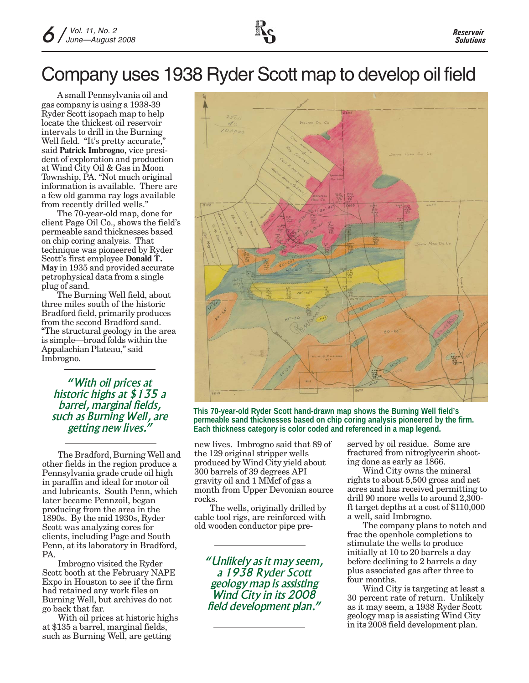# Company uses 1938 Ryder Scott map to develop oil field

A small Pennsylvania oil and gas company is using a 1938-39 Ryder Scott isopach map to help locate the thickest oil reservoir intervals to drill in the Burning Well field. "It's pretty accurate," said **Patrick Imbrogno**, vice president of exploration and production at Wind City Oil & Gas in Moon Township, PA. "Not much original information is available. There are a few old gamma ray logs available from recently drilled wells."

The 70-year-old map, done for client Page Oil Co., shows the field's permeable sand thicknesses based on chip coring analysis. That technique was pioneered by Ryder Scott's first employee **Donald T. May** in 1935 and provided accurate petrophysical data from a single plug of sand.

The Burning Well field, about three miles south of the historic Bradford field, primarily produces from the second Bradford sand. "The structural geology in the area is simple—broad folds within the Appalachian Plateau," said Imbrogno.

*"With oil prices at historic highs at \$135 a barrel, marginal fields, such as Burning Well, are getting new lives."*

The Bradford, Burning Well and other fields in the region produce a Pennsylvania grade crude oil high in paraffin and ideal for motor oil and lubricants. South Penn, which later became Pennzoil, began producing from the area in the 1890s. By the mid 1930s, Ryder Scott was analyzing cores for clients, including Page and South Penn, at its laboratory in Bradford, PA.

Imbrogno visited the Ryder Scott booth at the February NAPE Expo in Houston to see if the firm had retained any work files on Burning Well, but archives do not go back that far.

With oil prices at historic highs at \$135 a barrel, marginal fields, such as Burning Well, are getting



**This 70-year-old Ryder Scott hand-drawn map shows the Burning Well field's permeable sand thicknesses based on chip coring analysis pioneered by the firm. Each thickness category is color coded and referenced in a map legend.**

new lives. Imbrogno said that 89 of the 129 original stripper wells produced by Wind City yield about 300 barrels of 39 degrees API gravity oil and 1 MMcf of gas a month from Upper Devonian source rocks.

The wells, originally drilled by cable tool rigs, are reinforced with old wooden conductor pipe pre-

*"Unlikely as it may seem, a 1938 Ryder Scott geology map is assisting Wind City in its 2008 field development plan."*

served by oil residue. Some are fractured from nitroglycerin shooting done as early as 1866.

Wind City owns the mineral rights to about 5,500 gross and net acres and has received permitting to drill 90 more wells to around 2,300 ft target depths at a cost of \$110,000 a well, said Imbrogno.

The company plans to notch and frac the openhole completions to stimulate the wells to produce initially at 10 to 20 barrels a day before declining to 2 barrels a day plus associated gas after three to four months.

Wind City is targeting at least a 30 percent rate of return. Unlikely as it may seem, a 1938 Ryder Scott geology map is assisting Wind City in its 2008 field development plan.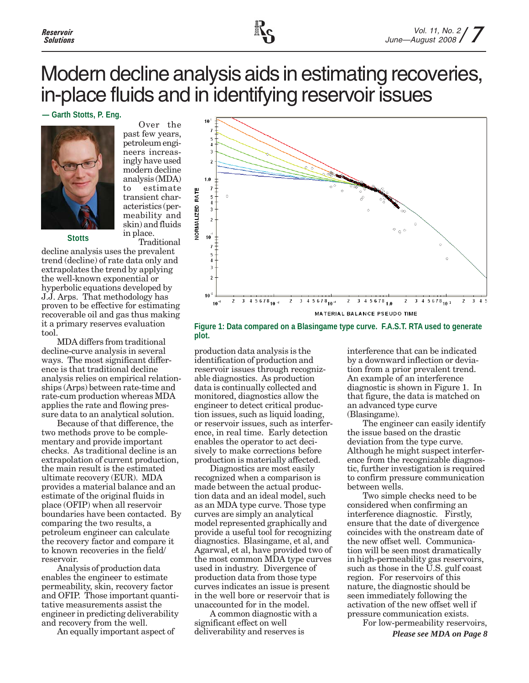# Modern decline analysis aids in estimating recoveries, in-place fluids and in identifying reservoir issues

#### **— Garth Stotts, P. Eng.**



past few years, petroleum engineers increasingly have used modern decline analysis (MDA) to estimate transient characteristics (permeability and skin) and fluids in place. Traditional

Over the

**Stotts**

decline analysis uses the prevalent trend (decline) of rate data only and extrapolates the trend by applying the well-known exponential or hyperbolic equations developed by J.J. Arps. That methodology has proven to be effective for estimating recoverable oil and gas thus making it a primary reserves evaluation tool.

MDA differs from traditional decline-curve analysis in several ways. The most significant difference is that traditional decline analysis relies on empirical relationships (Arps) between rate-time and rate-cum production whereas MDA applies the rate and flowing pressure data to an analytical solution.

Because of that difference, the two methods prove to be complementary and provide important checks. As traditional decline is an extrapolation of current production, the main result is the estimated ultimate recovery (EUR). MDA provides a material balance and an estimate of the original fluids in place (OFIP) when all reservoir boundaries have been contacted. By comparing the two results, a petroleum engineer can calculate the recovery factor and compare it to known recoveries in the field/ reservoir.

Analysis of production data enables the engineer to estimate permeability, skin, recovery factor and OFIP. Those important quantitative measurements assist the engineer in predicting deliverability and recovery from the well.

An equally important aspect of



**Figure 1: Data compared on a Blasingame type curve. F.A.S.T. RTA used to generate plot.**

production data analysis is the identification of production and reservoir issues through recognizable diagnostics. As production data is continually collected and monitored, diagnostics allow the engineer to detect critical production issues, such as liquid loading, or reservoir issues, such as interference, in real time. Early detection enables the operator to act decisively to make corrections before production is materially affected.

Diagnostics are most easily recognized when a comparison is made between the actual production data and an ideal model, such as an MDA type curve. Those type curves are simply an analytical model represented graphically and provide a useful tool for recognizing diagnostics. Blasingame, et al, and Agarwal, et al, have provided two of the most common MDA type curves used in industry. Divergence of production data from those type curves indicates an issue is present in the well bore or reservoir that is unaccounted for in the model.

A common diagnostic with a significant effect on well deliverability and reserves is

interference that can be indicated by a downward inflection or deviation from a prior prevalent trend. An example of an interference diagnostic is shown in Figure 1. In that figure, the data is matched on an advanced type curve (Blasingame).

The engineer can easily identify the issue based on the drastic deviation from the type curve. Although he might suspect interference from the recognizable diagnostic, further investigation is required to confirm pressure communication between wells.

Two simple checks need to be considered when confirming an interference diagnostic. Firstly, ensure that the date of divergence coincides with the onstream date of the new offset well. Communication will be seen most dramatically in high-permeability gas reservoirs, such as those in the U.S. gulf coast region. For reservoirs of this nature, the diagnostic should be seen immediately following the activation of the new offset well if pressure communication exists.

*Please see MDA on Page 8* For low-permeability reservoirs,